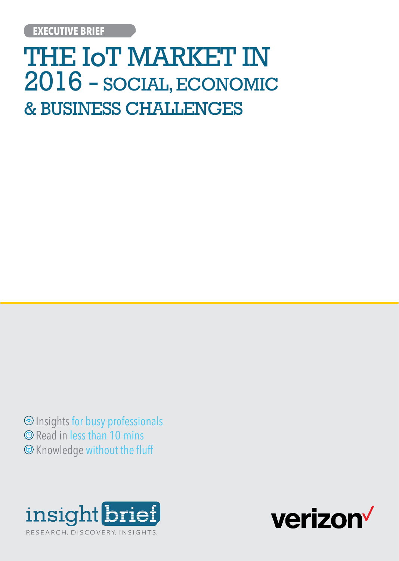# THE IoT MARKET IN 2016 - SOCIAL, ECONOMIC & BUSINESS CHALLENGES

 Insights for busy professionals **O** Read in less than 10 mins Knowledge without the fluff



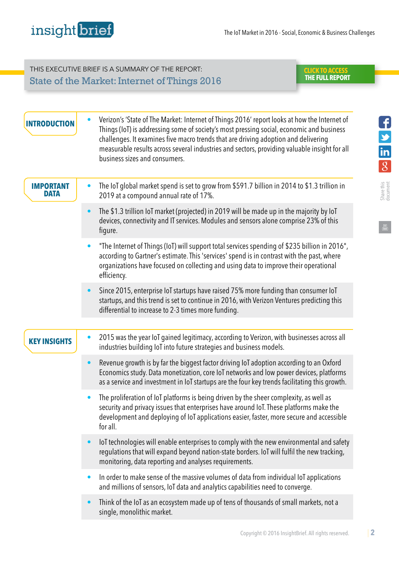## THIS EXECUTIVE BRIEF IS A SUMMARY OF THE REPORT: State of the Market: Internet of Things 2016

#### **CLICK TO ACCESS  [THE FULL REPORT](http://ibrief.ly/cta-eb31)**

Share this document

Fully in

| <b>INTRODUCTION</b>             | Verizon's 'State of The Market: Internet of Things 2016' report looks at how the Internet of<br>$\bullet$<br>Things (IoT) is addressing some of society's most pressing social, economic and business<br>challenges. It examines five macro trends that are driving adoption and delivering<br>measurable results across several industries and sectors, providing valuable insight for all<br>business sizes and consumers. |
|---------------------------------|------------------------------------------------------------------------------------------------------------------------------------------------------------------------------------------------------------------------------------------------------------------------------------------------------------------------------------------------------------------------------------------------------------------------------|
| <b>IMPORTANT</b><br><b>DATA</b> | The IoT global market spend is set to grow from \$591.7 billion in 2014 to \$1.3 trillion in<br>$\bullet$<br>2019 at a compound annual rate of 17%.                                                                                                                                                                                                                                                                          |
|                                 | The \$1.3 trillion IoT market (projected) in 2019 will be made up in the majority by IoT<br>devices, connectivity and IT services. Modules and sensors alone comprise 23% of this<br>figure.                                                                                                                                                                                                                                 |
|                                 | "The Internet of Things (IoT) will support total services spending of \$235 billion in 2016",<br>according to Gartner's estimate. This 'services' spend is in contrast with the past, where<br>organizations have focused on collecting and using data to improve their operational<br>efficiency.                                                                                                                           |
|                                 | Since 2015, enterprise IoT startups have raised 75% more funding than consumer IoT<br>startups, and this trend is set to continue in 2016, with Verizon Ventures predicting this<br>differential to increase to 2-3 times more funding.                                                                                                                                                                                      |
|                                 |                                                                                                                                                                                                                                                                                                                                                                                                                              |
| <b>KEY INSIGHTS</b>             | 2015 was the year IoT gained legitimacy, according to Verizon, with businesses across all<br>$\bullet$<br>industries building IoT into future strategies and business models.                                                                                                                                                                                                                                                |
|                                 | Revenue growth is by far the biggest factor driving IoT adoption according to an Oxford<br>$\bullet$<br>Economics study. Data monetization, core IoT networks and low power devices, platforms<br>as a service and investment in IoT startups are the four key trends facilitating this growth.                                                                                                                              |
|                                 | The proliferation of IoT platforms is being driven by the sheer complexity, as well as<br>security and privacy issues that enterprises have around IoT. These platforms make the<br>development and deploying of IoT applications easier, faster, more secure and accessible<br>for all.                                                                                                                                     |
|                                 | loT technologies will enable enterprises to comply with the new environmental and safety<br>$\bullet$<br>regulations that will expand beyond nation-state borders. IoT will fulfil the new tracking,<br>monitoring, data reporting and analyses requirements.                                                                                                                                                                |
|                                 | In order to make sense of the massive volumes of data from individual IoT applications<br>$\bullet$<br>and millions of sensors, IoT data and analytics capabilities need to converge.                                                                                                                                                                                                                                        |
|                                 | Think of the IoT as an ecosystem made up of tens of thousands of small markets, not a<br>$\bullet$<br>single, monolithic market.                                                                                                                                                                                                                                                                                             |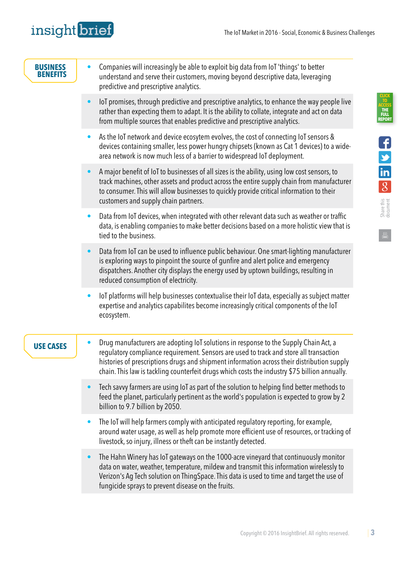Share this document

 $\begin{tabular}{c} \hline \quad \quad & \quad \quad \\ \hline \quad \quad & \quad \quad \\ \hline \end{tabular}$ 

**CLICK** 

**TO [ACCESS](http://ibrief.ly/cta-eb31)  THE FULL REPORT**

| <b>BUSINESS</b><br>BENEFITS | Companies will increasingly be able to exploit big data from IoT 'things' to better<br>$\bullet$<br>understand and serve their customers, moving beyond descriptive data, leveraging<br>predictive and prescriptive analytics.                                                                                                                                                             |
|-----------------------------|--------------------------------------------------------------------------------------------------------------------------------------------------------------------------------------------------------------------------------------------------------------------------------------------------------------------------------------------------------------------------------------------|
|                             | loT promises, through predictive and prescriptive analytics, to enhance the way people live<br>$\bullet$<br>rather than expecting them to adapt. It is the ability to collate, integrate and act on data<br>from multiple sources that enables predictive and prescriptive analytics.                                                                                                      |
|                             | As the IoT network and device ecosytem evolves, the cost of connecting IoT sensors &<br>$\bullet$<br>devices containing smaller, less power hungry chipsets (known as Cat 1 devices) to a wide-<br>area network is now much less of a barrier to widespread IoT deployment.                                                                                                                |
|                             | A major benefit of IoT to businesses of all sizes is the ability, using low cost sensors, to<br>$\bullet$<br>track machines, other assets and product across the entire supply chain from manufacturer<br>to consumer. This will allow businesses to quickly provide critical information to their<br>customers and supply chain partners.                                                 |
|                             | Data from IoT devices, when integrated with other relevant data such as weather or traffic<br>$\bullet$<br>data, is enabling companies to make better decisions based on a more holistic view that is<br>tied to the business.                                                                                                                                                             |
|                             | Data from IoT can be used to influence public behaviour. One smart-lighting manufacturer<br>$\bullet$<br>is exploring ways to pinpoint the source of gunfire and alert police and emergency<br>dispatchers. Another city displays the energy used by uptown buildings, resulting in<br>reduced consumption of electricity.                                                                 |
|                             | IoT platforms will help businesses contextualise their IoT data, especially as subject matter<br>$\bullet$<br>expertise and analytics capabilites become increasingly critical components of the loT<br>ecosystem.                                                                                                                                                                         |
| <b>USE CASES</b>            | Drug manufacturers are adopting IoT solutions in response to the Supply Chain Act, a<br>$\bullet$<br>regulatory compliance requirement. Sensors are used to track and store all transaction<br>histories of prescriptions drugs and shipment information across their distribution supply<br>chain. This law is tackling counterfeit drugs which costs the industry \$75 billion annually. |
|                             | Tech savvy farmers are using IoT as part of the solution to helping find better methods to<br>$\bullet$<br>feed the planet, particularly pertinent as the world's population is expected to grow by 2<br>billion to 9.7 billion by 2050.                                                                                                                                                   |
|                             | The IoT will help farmers comply with anticipated regulatory reporting, for example,<br>$\bullet$<br>around water usage, as well as help promote more efficient use of resources, or tracking of<br>livestock, so injury, illness or theft can be instantly detected.                                                                                                                      |
|                             | The Hahn Winery has IoT gateways on the 1000-acre vineyard that continuously monitor<br>$\bullet$<br>data on water, weather, temperature, mildew and transmit this information wirelessly to<br>Verizon's Ag Tech solution on ThingSpace. This data is used to time and target the use of<br>fungicide sprays to prevent disease on the fruits.                                            |
|                             |                                                                                                                                                                                                                                                                                                                                                                                            |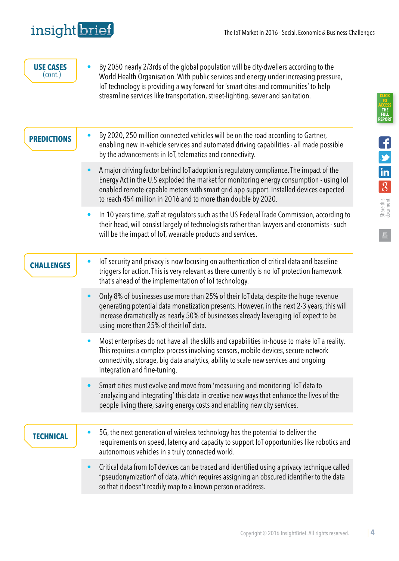## insight brief

Share this document

**CLICK TO [ACCESS](http://ibrief.ly/cta-eb31)  THE FULL REPORT**

| <b>USE CASES</b><br>$($ cont. $)$ | By 2050 nearly 2/3rds of the global population will be city-dwellers according to the<br>$\bullet$<br>World Health Organisation. With public services and energy under increasing pressure,<br>loT technology is providing a way forward for 'smart cites and communities' to help<br>streamline services like transportation, street-lighting, sewer and sanitation. |
|-----------------------------------|-----------------------------------------------------------------------------------------------------------------------------------------------------------------------------------------------------------------------------------------------------------------------------------------------------------------------------------------------------------------------|
| <b>PREDICTIONS</b>                | By 2020, 250 million connected vehicles will be on the road according to Gartner,<br>$\bullet$<br>enabling new in-vehicle services and automated driving capabilities - all made possible<br>by the advancements in IoT, telematics and connectivity.                                                                                                                 |
|                                   | A major driving factor behind IoT adoption is regulatory compliance. The impact of the<br>$\bullet$<br>Energy Act in the U.S exploded the market for monitoring energy consumption - using loT<br>enabled remote-capable meters with smart grid app support. Installed devices expected<br>to reach 454 million in 2016 and to more than double by 2020.              |
|                                   | In 10 years time, staff at regulators such as the US Federal Trade Commission, according to<br>$\bullet$<br>their head, will consist largely of technologists rather than lawyers and economists - such<br>will be the impact of IoT, wearable products and services.                                                                                                 |
| <b>CHALLENGES</b>                 | loT security and privacy is now focusing on authentication of critical data and baseline<br>$\bullet$<br>triggers for action. This is very relevant as there currently is no IoT protection framework<br>that's ahead of the implementation of IoT technology.                                                                                                        |
|                                   | Only 8% of businesses use more than 25% of their IoT data, despite the huge revenue<br>$\bullet$<br>generating potential data monetization presents. However, in the next 2-3 years, this will<br>increase dramatically as nearly 50% of businesses already leveraging IoT expect to be<br>using more than 25% of their IoT data.                                     |
|                                   | Most enterprises do not have all the skills and capabilities in-house to make IoT a reality.<br>$\bullet$<br>This requires a complex process involving sensors, mobile devices, secure network<br>connectivity, storage, big data analytics, ability to scale new services and ongoing<br>integration and fine-tuning.                                                |
|                                   | Smart cities must evolve and move from 'measuring and monitoring' loT data to<br>$\bullet$<br>'analyzing and integrating' this data in creative new ways that enhance the lives of the<br>people living there, saving energy costs and enabling new city services.                                                                                                    |
| <b>TECHNICAL</b>                  | 5G, the next generation of wireless technology has the potential to deliver the<br>$\bullet$<br>requirements on speed, latency and capacity to support loT opportunities like robotics and<br>autonomous vehicles in a truly connected world.                                                                                                                         |
|                                   | Critical data from IoT devices can be traced and identified using a privacy technique called<br>$\bullet$<br>"pseudonymization" of data, which requires assigning an obscured identifier to the data<br>so that it doesn't readily map to a known person or address.                                                                                                  |
|                                   |                                                                                                                                                                                                                                                                                                                                                                       |